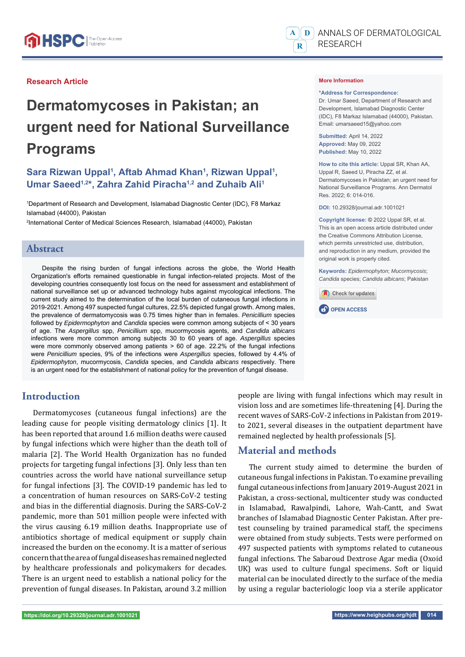

# **Dermatomycoses in Pakistan; an urgent need for National Surveillance Programs**

# Sara Rizwan Uppal<sup>1</sup>, Aftab Ahmad Khan<sup>1</sup>, Rizwan Uppal<sup>1</sup>, **Umar Saeed1,2\*, Zahra Zahid Piracha1,2 and Zuhaib Ali1**

1 Department of Research and Development, Islamabad Diagnostic Center (IDC), F8 Markaz Islamabad (44000), Pakistan

2 International Center of Medical Sciences Research, Islamabad (44000), Pakistan

#### **Abstract**

Despite the rising burden of fungal infections across the globe, the World Health Organization's efforts remained questionable in fungal infection-related projects. Most of the developing countries consequently lost focus on the need for assessment and establishment of national surveillance set up or advanced technology hubs against mycological infections. The current study aimed to the determination of the local burden of cutaneous fungal infections in 2019-2021. Among 497 suspected fungal cultures, 22.5% depicted fungal growth. Among males, the prevalence of dermatomycosis was 0.75 times higher than in females. *Penicillium* species followed by *Epidermophyton* and *Candida* species were common among subjects of < 30 years of age. The *Aspergillus* spp, *Penicillium* spp, mucormycosis agents, and *Candida albicans* infections were more common among subjects 30 to 60 years of age. *Aspergillus* species were more commonly observed among patients > 60 of age. 22.2% of the fungal infections were *Penicillium* species, 9% of the infections were *Aspergillus* species, followed by 4.4% of *Epidermophyton*, mucormycosis, *Candida* species, and *Candida albicans* respectively. There is an urgent need for the establishment of national policy for the prevention of fungal disease.

## **Introduction**

Dermatomycoses (cutaneous fungal infections) are the leading cause for people visiting dermatology clinics [1]. It has been reported that around 1.6 million deaths were caused by fungal infections which were higher than the death toll of malaria [2]. The World Health Organization has no funded projects for targeting fungal infections [3]. Only less than ten countries across the world have national surveillance setup for fungal infections [3]. The COVID-19 pandemic has led to a concentration of human resources on SARS-CoV-2 testing and bias in the differential diagnosis. During the SARS-CoV-2 pandemic, more than 501 million people were infected with the virus causing 6.19 million deaths. Inappropriate use of antibiotics shortage of medical equipment or supply chain increased the burden on the economy. It is a matter of serious concern that the area of fungal diseases has remained neglected by healthcare professionals and policymakers for decades. There is an urgent need to establish a national policy for the prevention of fungal diseases. In Pakistan, around 3.2 million



branches of Islamabad Diagnostic Center Pakistan. After pretest counseling by trained paramedical staff, the specimens were obtained from study subjects. Tests were performed on 497 suspected patients with symptoms related to cutaneous fungal infections. The Sabaroud Dextrose Agar media (Oxoid UK) was used to culture fungal specimens. Soft or liquid material can be inoculated directly to the surface of the media by using a regular bacteriologic loop via a sterile applicator



#### **More Information**

#### **\*Address for Correspondence:**

Dr. Umar Saeed, Department of Research and Development, Islamabad Diagnostic Center (IDC), F8 Markaz Islamabad (44000), Pakistan. Email: umarsaeed15@yahoo.com

**Submitted:** April 14, 2022 **Approved:** May 09, 2022 **Published:** May 10, 2022

**How to cite this article:** Uppal SR, Khan AA, Uppal R, Saeed U, Piracha ZZ, et al. Dermatomycoses in Pakistan; an urgent need for National Surveillance Programs. Ann Dermatol Res. 2022; 6: 014-016.

**DOI:** 10.29328/journal.adr.1001021

**Copyright license: ©** 2022 Uppal SR, et al. This is an open access article distributed under the Creative Commons Attribution License, which permits unrestricted use, distribution, and reproduction in any medium, provided the original work is properly cited.

**Keywords:** *Epidermophyton*; *Mucormycosis*; *Candida* species; *Candida albicans*; Pakistan





people are living with fungal infections which may result in vision loss and are sometimes life-threatening [4]. During the recent waves of SARS-CoV-2 infections in Pakistan from 2019 to 2021, several diseases in the outpatient department have

The current study aimed to determine the burden of cutaneous fungal infections in Pakistan. To examine prevailing

remained neglected by health professionals [5].

**Material and methods**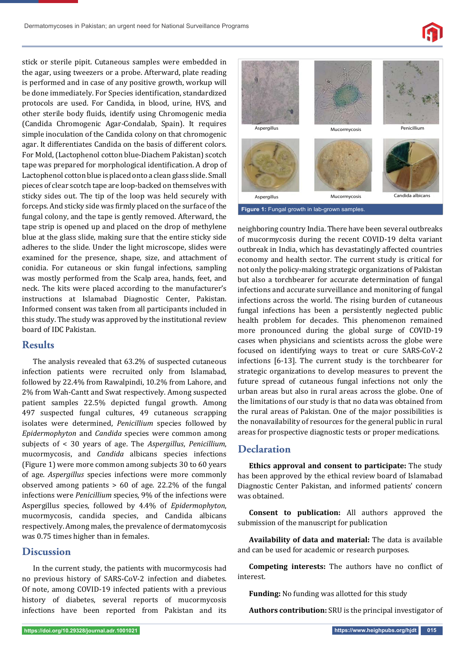stick or sterile pipit. Cutaneous samples were embedded in the agar, using tweezers or a probe. Afterward, plate reading is performed and in case of any positive growth, workup will be done immediately. For Species identification, standardized protocols are used. For Candida, in blood, urine, HVS, and other sterile body fluids, identify using Chromogenic media (Candida Chromogenic Agar-Condalab, Spain). It requires simple inoculation of the Candida colony on that chromogenic agar. It differentiates Candida on the basis of different colors. For Mold, (Lactophenol cotton blue-Diachem Pakistan) scotch tape was prepared for morphological identification. A drop of Lactophenol cotton blue is placed onto a clean glass slide. Small pieces of clear scotch tape are loop-backed on themselves with sticky sides out. The tip of the loop was held securely with forceps. And sticky side was firmly placed on the surface of the fungal colony, and the tape is gently removed. Afterward, the tape strip is opened up and placed on the drop of methylene blue at the glass slide, making sure that the entire sticky side adheres to the slide. Under the light microscope, slides were examined for the presence, shape, size, and attachment of conidia. For cutaneous or skin fungal infections, sampling was mostly performed from the Scalp area, hands, feet, and neck. The kits were placed according to the manufacturer's instructions at Islamabad Diagnostic Center, Pakistan. Informed consent was taken from all participants included in this study. The study was approved by the institutional review board of IDC Pakistan.

#### **Results**

The analysis revealed that 63.2% of suspected cutaneous infection patients were recruited only from Islamabad, followed by 22.4% from Rawalpindi, 10.2% from Lahore, and 2% from Wah-Cantt and Swat respectively. Among suspected patient samples 22.5% depicted fungal growth. Among 497 suspected fungal cultures, 49 cutaneous scrapping isolates were determined, *Penicillium* species followed by *Epidermophyton* and *Candida* species were common among subjects of < 30 years of age. The *Aspergillus*, *Penicillium*, mucormycosis, and *Candida* albicans species infections (Figure 1) were more common among subjects 30 to 60 years of age. *Aspergillus* species infections were more commonly observed among patients > 60 of age. 22.2% of the fungal infections were *Penicillium* species, 9% of the infections were Aspergillus species, followed by 4.4% of *Epidermophyton*, mucormycosis, candida species, and Candida albicans respectively. Among males, the prevalence of dermatomycosis was 0.75 times higher than in females.

## **Discussion**

In the current study, the patients with mucormycosis had no previous history of SARS-CoV-2 infection and diabetes. Of note, among COVID-19 infected patients with a previous history of diabetes, several reports of mucormycosis infections have been reported from Pakistan and its



neighboring country India. There have been several outbreaks of mucormycosis during the recent COVID-19 delta variant outbreak in India, which has devastatingly affected countries economy and health sector. The current study is critical for not only the policy-making strategic organizations of Pakistan but also a torchbearer for accurate determination of fungal infections and accurate surveillance and monitoring of fungal infections across the world. The rising burden of cutaneous fungal infections has been a persistently neglected public health problem for decades. This phenomenon remained more pronounced during the global surge of COVID-19 cases when physicians and scientists across the globe were focused on identifying ways to treat or cure SARS-CoV-2 infections [6-13]. The current study is the torchbearer for strategic organizations to develop measures to prevent the future spread of cutaneous fungal infections not only the urban areas but also in rural areas across the globe. One of the limitations of our study is that no data was obtained from the rural areas of Pakistan. One of the major possibilities is the nonavailability of resources for the general public in rural

## **Declaration**

**Ethics approval and consent to participate:** The study has been approved by the ethical review board of Islamabad Diagnostic Center Pakistan, and informed patients' concern was obtained.

areas for prospective diagnostic tests or proper medications.

**Consent to publication:** All authors approved the submission of the manuscript for publication

**Availability of data and material:** The data is available and can be used for academic or research purposes.

**Competing interests:** The authors have no conflict of interest.

**Funding:** No funding was allotted for this study

**Authors contribution:** SRU is the principal investigator of